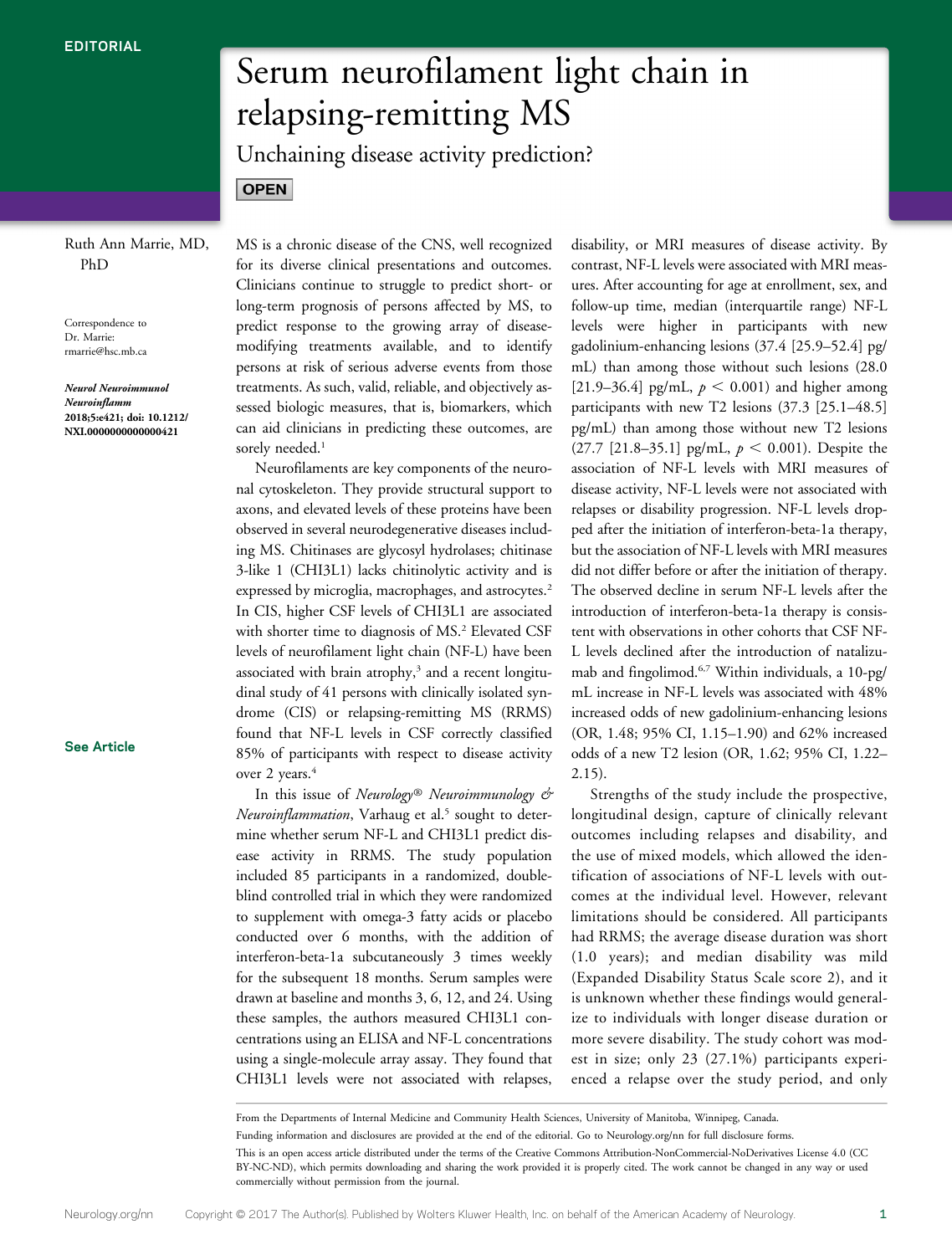### Ruth Ann Marrie, MD, PhD

**OPEN** 

Correspondence to Dr. Marrie: [rmarrie@hsc.mb.ca](mailto:rmarrie@hsc.mb.ca)

Neurol Neuroimmunol Neuroinflamm 2018;5:e421; doi: 10.1212/ NXI.0000000000000421

### [See Article](https://nn.neurology.org/lookup/doi/10.1212/NXI.0000000000000422)

# Serum neurofilament light chain in relapsing-remitting MS

Unchaining disease activity prediction?

MS is a chronic disease of the CNS, well recognized for its diverse clinical presentations and outcomes. Clinicians continue to struggle to predict short- or long-term prognosis of persons affected by MS, to predict response to the growing array of diseasemodifying treatments available, and to identify persons at risk of serious adverse events from those treatments. As such, valid, reliable, and objectively assessed biologic measures, that is, biomarkers, which can aid clinicians in predicting these outcomes, are sorely needed.<sup>1</sup>

Neurofilaments are key components of the neuronal cytoskeleton. They provide structural support to axons, and elevated levels of these proteins have been observed in several neurodegenerative diseases including MS. Chitinases are glycosyl hydrolases; chitinase 3-like 1 (CHI3L1) lacks chitinolytic activity and is expressed by microglia, macrophages, and astrocytes.<sup>2</sup> In CIS, higher CSF levels of CHI3L1 are associated with shorter time to diagnosis of MS.<sup>2</sup> Elevated CSF levels of neurofilament light chain (NF-L) have been associated with brain atrophy, $3$  and a recent longitudinal study of 41 persons with clinically isolated syndrome (CIS) or relapsing-remitting MS (RRMS) found that NF-L levels in CSF correctly classified 85% of participants with respect to disease activity over 2 years.<sup>4</sup>

In this issue of Neurology® Neuroimmunology & Neuroinflammation, Varhaug et al.<sup>5</sup> sought to determine whether serum NF-L and CHI3L1 predict disease activity in RRMS. The study population included 85 participants in a randomized, doubleblind controlled trial in which they were randomized to supplement with omega-3 fatty acids or placebo conducted over 6 months, with the addition of interferon-beta-1a subcutaneously 3 times weekly for the subsequent 18 months. Serum samples were drawn at baseline and months 3, 6, 12, and 24. Using these samples, the authors measured CHI3L1 concentrations using an ELISA and NF-L concentrations using a single-molecule array assay. They found that CHI3L1 levels were not associated with relapses,

disability, or MRI measures of disease activity. By contrast, NF-L levels were associated with MRI measures. After accounting for age at enrollment, sex, and follow-up time, median (interquartile range) NF-L levels were higher in participants with new gadolinium-enhancing lesions (37.4 [25.9–52.4] pg/ mL) than among those without such lesions (28.0 [21.9–36.4] pg/mL,  $p < 0.001$ ) and higher among participants with new T2 lesions (37.3 [25.1–48.5] pg/mL) than among those without new T2 lesions (27.7 [21.8–35.1] pg/mL,  $p < 0.001$ ). Despite the association of NF-L levels with MRI measures of disease activity, NF-L levels were not associated with relapses or disability progression. NF-L levels dropped after the initiation of interferon-beta-1a therapy, but the association of NF-L levels with MRI measures did not differ before or after the initiation of therapy. The observed decline in serum NF-L levels after the introduction of interferon-beta-1a therapy is consistent with observations in other cohorts that CSF NF-L levels declined after the introduction of natalizumab and fingolimod.6,7 Within individuals, a 10-pg/ mL increase in NF-L levels was associated with 48% increased odds of new gadolinium-enhancing lesions (OR, 1.48; 95% CI, 1.15–1.90) and 62% increased odds of a new T2 lesion (OR, 1.62; 95% CI, 1.22– 2.15).

Strengths of the study include the prospective, longitudinal design, capture of clinically relevant outcomes including relapses and disability, and the use of mixed models, which allowed the identification of associations of NF-L levels with outcomes at the individual level. However, relevant limitations should be considered. All participants had RRMS; the average disease duration was short (1.0 years); and median disability was mild (Expanded Disability Status Scale score 2), and it is unknown whether these findings would generalize to individuals with longer disease duration or more severe disability. The study cohort was modest in size; only 23 (27.1%) participants experienced a relapse over the study period, and only

From the Departments of Internal Medicine and Community Health Sciences, University of Manitoba, Winnipeg, Canada.

Funding information and disclosures are provided at the end of the editorial. Go to [Neurology.org/nn](http://nn.neurology.org/lookup/doi/10.1212/NXI.0000000000000421) for full disclosure forms.

This is an open access article distributed under the terms of the [Creative Commons Attribution-NonCommercial-NoDerivatives License 4.0 \(CC](http://creativecommons.org/licenses/by-nc-nd/4.0/) [BY-NC-ND\)](http://creativecommons.org/licenses/by-nc-nd/4.0/), which permits downloading and sharing the work provided it is properly cited. The work cannot be changed in any way or used commercially without permission from the journal.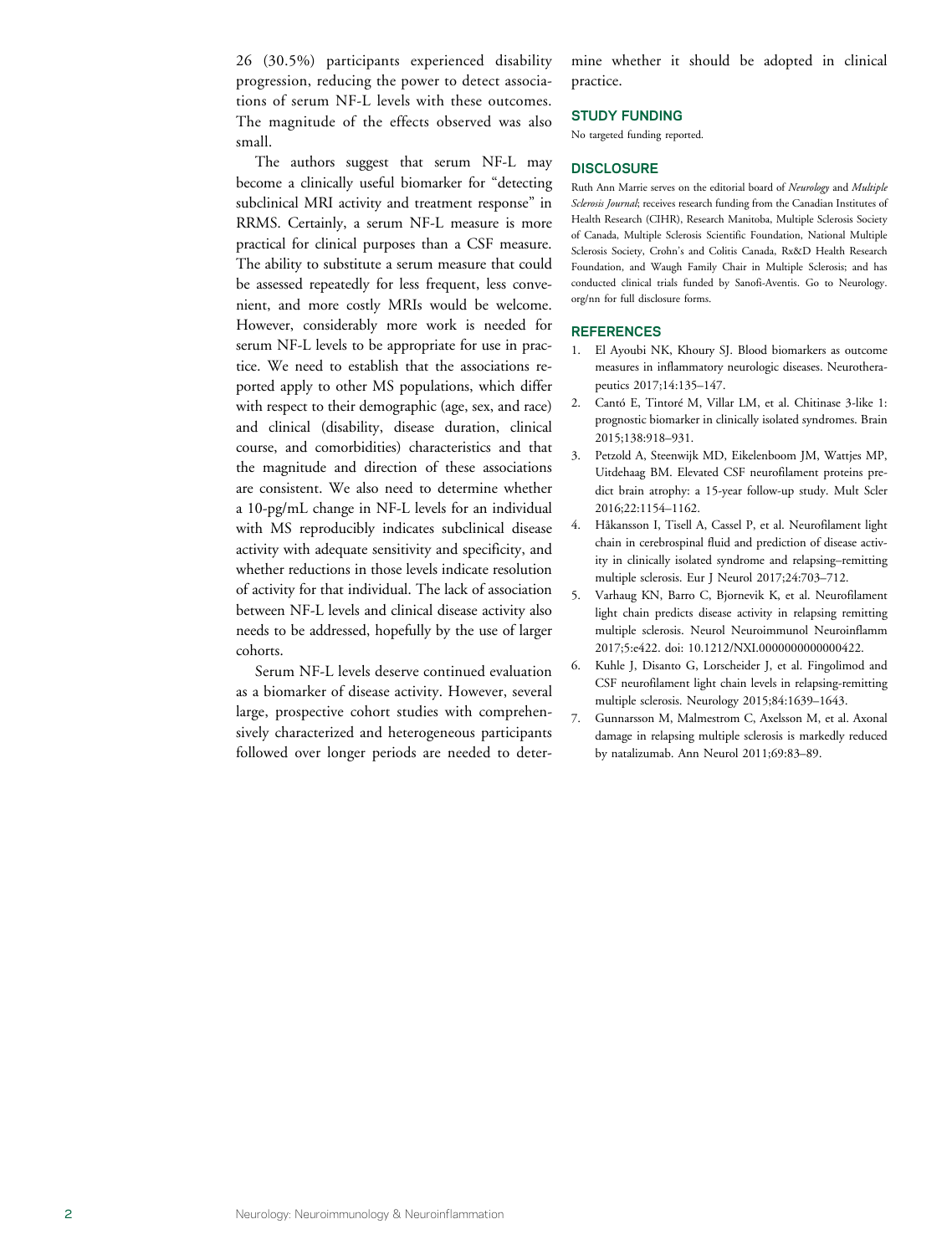26 (30.5%) participants experienced disability progression, reducing the power to detect associations of serum NF-L levels with these outcomes. The magnitude of the effects observed was also small.

The authors suggest that serum NF-L may become a clinically useful biomarker for "detecting subclinical MRI activity and treatment response" in RRMS. Certainly, a serum NF-L measure is more practical for clinical purposes than a CSF measure. The ability to substitute a serum measure that could be assessed repeatedly for less frequent, less convenient, and more costly MRIs would be welcome. However, considerably more work is needed for serum NF-L levels to be appropriate for use in practice. We need to establish that the associations reported apply to other MS populations, which differ with respect to their demographic (age, sex, and race) and clinical (disability, disease duration, clinical course, and comorbidities) characteristics and that the magnitude and direction of these associations are consistent. We also need to determine whether a 10-pg/mL change in NF-L levels for an individual with MS reproducibly indicates subclinical disease activity with adequate sensitivity and specificity, and whether reductions in those levels indicate resolution of activity for that individual. The lack of association between NF-L levels and clinical disease activity also needs to be addressed, hopefully by the use of larger cohorts.

Serum NF-L levels deserve continued evaluation as a biomarker of disease activity. However, several large, prospective cohort studies with comprehensively characterized and heterogeneous participants followed over longer periods are needed to determine whether it should be adopted in clinical practice.

### STUDY FUNDING

No targeted funding reported.

### **DISCLOSURE**

Ruth Ann Marrie serves on the editorial board of Neurology and Multiple Sclerosis Journal; receives research funding from the Canadian Institutes of Health Research (CIHR), Research Manitoba, Multiple Sclerosis Society of Canada, Multiple Sclerosis Scientific Foundation, National Multiple Sclerosis Society, Crohn's and Colitis Canada, Rx&D Health Research Foundation, and Waugh Family Chair in Multiple Sclerosis; and has conducted clinical trials funded by Sanofi-Aventis. Go to [Neurology.](http://nn.neurology.org/lookup/doi/10.1212/NXI.0000000000000421) [org/nn](http://nn.neurology.org/lookup/doi/10.1212/NXI.0000000000000421) for full disclosure forms.

### REFERENCES

- 1. El Ayoubi NK, Khoury SJ. Blood biomarkers as outcome measures in inflammatory neurologic diseases. Neurotherapeutics 2017;14:135–147.
- 2. Cantó E, Tintoré M, Villar LM, et al. Chitinase 3-like 1: prognostic biomarker in clinically isolated syndromes. Brain 2015;138:918–931.
- 3. Petzold A, Steenwijk MD, Eikelenboom JM, Wattjes MP, Uitdehaag BM. Elevated CSF neurofilament proteins predict brain atrophy: a 15-year follow-up study. Mult Scler 2016;22:1154–1162.
- 4. Håkansson I, Tisell A, Cassel P, et al. Neurofilament light chain in cerebrospinal fluid and prediction of disease activity in clinically isolated syndrome and relapsing–remitting multiple sclerosis. Eur J Neurol 2017;24:703–712.
- 5. Varhaug KN, Barro C, Bjornevik K, et al. Neurofilament light chain predicts disease activity in relapsing remitting multiple sclerosis. Neurol Neuroimmunol Neuroinflamm 2017;5:e422. [doi: 10.1212/NXI.0000000000000422](http://nn.neurology.org/lookup/doi/10.1212/NXI.0000000000000422).
- 6. Kuhle J, Disanto G, Lorscheider J, et al. Fingolimod and CSF neurofilament light chain levels in relapsing-remitting multiple sclerosis. Neurology 2015;84:1639–1643.
- 7. Gunnarsson M, Malmestrom C, Axelsson M, et al. Axonal damage in relapsing multiple sclerosis is markedly reduced by natalizumab. Ann Neurol 2011;69:83–89.